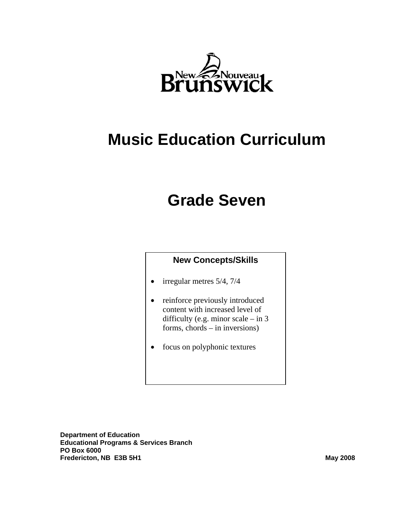

# **Music Education Curriculum**

# **Grade Seven**

## **New Concepts/Skills**

- irregular metres 5/4, 7/4
- reinforce previously introduced content with increased level of difficulty (e.g. minor scale – in 3 forms, chords – in inversions)
- focus on polyphonic textures

**Department of Education Educational Programs & Services Branch PO Box 6000 Fredericton, NB E3B 5H1 May 2008 May 2008**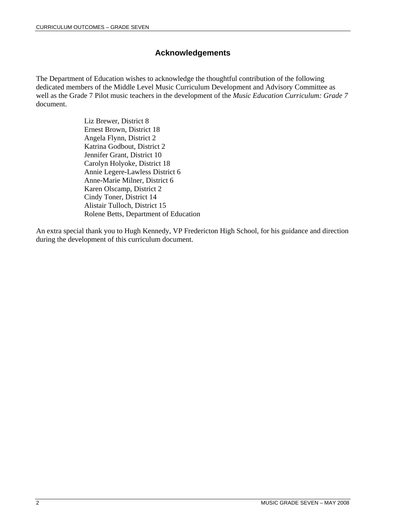## **Acknowledgements**

The Department of Education wishes to acknowledge the thoughtful contribution of the following dedicated members of the Middle Level Music Curriculum Development and Advisory Committee as well as the Grade 7 Pilot music teachers in the development of the *Music Education Curriculum: Grade 7* document.

> Liz Brewer, District 8 Ernest Brown, District 18 Angela Flynn, District 2 Katrina Godbout, District 2 Jennifer Grant, District 10 Carolyn Holyoke, District 18 Annie Legere-Lawless District 6 Anne-Marie Milner, District 6 Karen Olscamp, District 2 Cindy Toner, District 14 Alistair Tulloch, District 15 Rolene Betts, Department of Education

An extra special thank you to Hugh Kennedy, VP Fredericton High School, for his guidance and direction during the development of this curriculum document.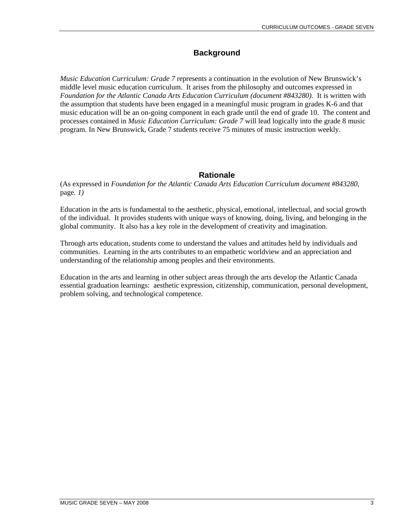# **Background**

*Music Education Curriculum: Grade 7* represents a continuation in the evolution of New Brunswick's middle level music education curriculum. It arises from the philosophy and outcomes expressed in *Foundation for the Atlantic Canada Arts Education Curriculum (document #843280).* It is written with the assumption that students have been engaged in a meaningful music program in grades K-6 and that music education will be an on-going component in each grade until the end of grade 10. The content and processes contained in *Music Education Curriculum: Grade 7* will lead logically into the grade 8 music program. In New Brunswick, Grade 7 students receive 75 minutes of music instruction weekly.

## **Rationale**

(As expressed in *Foundation for the Atlantic Canada Arts Education Curriculum document #843280,*  page*. 1)* 

Education in the arts is fundamental to the aesthetic, physical, emotional, intellectual, and social growth of the individual. It provides students with unique ways of knowing, doing, living, and belonging in the global community. It also has a key role in the development of creativity and imagination.

Through arts education, students come to understand the values and attitudes held by individuals and communities. Learning in the arts contributes to an empathetic worldview and an appreciation and understanding of the relationship among peoples and their environments.

Education in the arts and learning in other subject areas through the arts develop the Atlantic Canada essential graduation learnings: aesthetic expression, citizenship, communication, personal development, problem solving, and technological competence.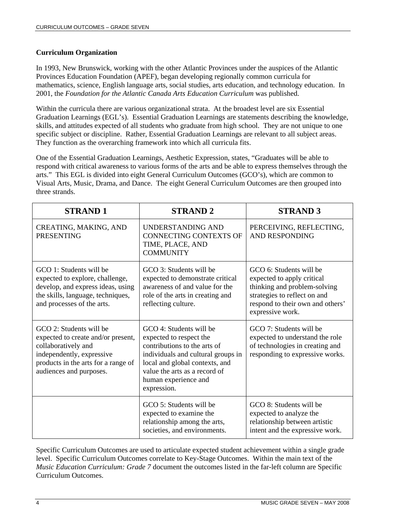#### **Curriculum Organization**

In 1993, New Brunswick, working with the other Atlantic Provinces under the auspices of the Atlantic Provinces Education Foundation (APEF), began developing regionally common curricula for mathematics, science, English language arts, social studies, arts education, and technology education. In 2001, the *Foundation for the Atlantic Canada Arts Education Curriculum* was published.

Within the curricula there are various organizational strata. At the broadest level are six Essential Graduation Learnings (EGL's). Essential Graduation Learnings are statements describing the knowledge, skills, and attitudes expected of all students who graduate from high school. They are not unique to one specific subject or discipline. Rather, Essential Graduation Learnings are relevant to all subject areas. They function as the overarching framework into which all curricula fits.

One of the Essential Graduation Learnings, Aesthetic Expression, states, "Graduates will be able to respond with critical awareness to various forms of the arts and be able to express themselves through the arts." This EGL is divided into eight General Curriculum Outcomes (GCO's), which are common to Visual Arts, Music, Drama, and Dance. The eight General Curriculum Outcomes are then grouped into three strands.

| <b>STRAND1</b>                                                                                                                                                                      | <b>STRAND 2</b>                                                                                                                                                                                                                    | <b>STRAND 3</b>                                                                                                                                                               |
|-------------------------------------------------------------------------------------------------------------------------------------------------------------------------------------|------------------------------------------------------------------------------------------------------------------------------------------------------------------------------------------------------------------------------------|-------------------------------------------------------------------------------------------------------------------------------------------------------------------------------|
| CREATING, MAKING, AND<br><b>PRESENTING</b>                                                                                                                                          | UNDERSTANDING AND<br><b>CONNECTING CONTEXTS OF</b><br>TIME, PLACE, AND<br><b>COMMUNITY</b>                                                                                                                                         | PERCEIVING, REFLECTING,<br><b>AND RESPONDING</b>                                                                                                                              |
| GCO 1: Students will be<br>expected to explore, challenge,<br>develop, and express ideas, using<br>the skills, language, techniques,<br>and processes of the arts.                  | GCO 3: Students will be<br>expected to demonstrate critical<br>awareness of and value for the<br>role of the arts in creating and<br>reflecting culture.                                                                           | GCO 6: Students will be<br>expected to apply critical<br>thinking and problem-solving<br>strategies to reflect on and<br>respond to their own and others'<br>expressive work. |
| GCO 2: Students will be<br>expected to create and/or present,<br>collaboratively and<br>independently, expressive<br>products in the arts for a range of<br>audiences and purposes. | GCO 4: Students will be<br>expected to respect the<br>contributions to the arts of<br>individuals and cultural groups in<br>local and global contexts, and<br>value the arts as a record of<br>human experience and<br>expression. | GCO 7: Students will be<br>expected to understand the role<br>of technologies in creating and<br>responding to expressive works.                                              |
|                                                                                                                                                                                     | GCO 5: Students will be<br>expected to examine the<br>relationship among the arts,<br>societies, and environments.                                                                                                                 | GCO 8: Students will be<br>expected to analyze the<br>relationship between artistic<br>intent and the expressive work.                                                        |

Specific Curriculum Outcomes are used to articulate expected student achievement within a single grade level. Specific Curriculum Outcomes correlate to Key-Stage Outcomes. Within the main text of the *Music Education Curriculum: Grade 7* document the outcomes listed in the far-left column are Specific Curriculum Outcomes.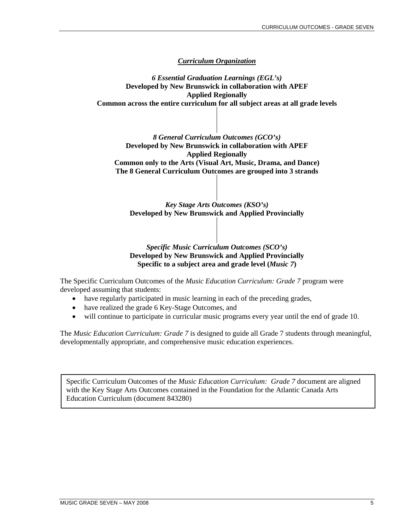#### *Curriculum Organization*

*6 Essential Graduation Learnings (EGL's)* **Developed by New Brunswick in collaboration with APEF Applied Regionally Common across the entire curriculum for all subject areas at all grade levels** 

*8 General Curriculum Outcomes (GCO's)*  **Developed by New Brunswick in collaboration with APEF Applied Regionally Common only to the Arts (Visual Art, Music, Drama, and Dance) The 8 General Curriculum Outcomes are grouped into 3 strands** 

*Key Stage Arts Outcomes (KSO's)* **Developed by New Brunswick and Applied Provincially** 

#### *Specific Music Curriculum Outcomes (SCO's)* **Developed by New Brunswick and Applied Provincially Specific to a subject area and grade level (***Music 7***)**

The Specific Curriculum Outcomes of the *Music Education Curriculum: Grade 7* program were developed assuming that students:

- have regularly participated in music learning in each of the preceding grades,
- have realized the grade 6 Key-Stage Outcomes, and
- will continue to participate in curricular music programs every year until the end of grade 10.

The *Music Education Curriculum: Grade 7* is designed to guide all Grade 7 students through meaningful, developmentally appropriate, and comprehensive music education experiences.

Specific Curriculum Outcomes of the *Music Education Curriculum: Grade 7* document are aligned with the Key Stage Arts Outcomes contained in the Foundation for the Atlantic Canada Arts Education Curriculum (document 843280)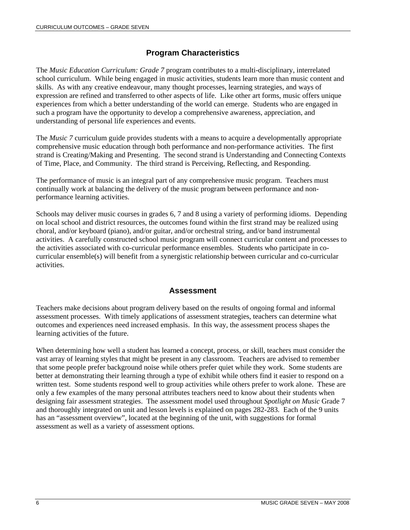## **Program Characteristics**

The *Music Education Curriculum: Grade 7* program contributes to a multi-disciplinary, interrelated school curriculum. While being engaged in music activities, students learn more than music content and skills. As with any creative endeavour, many thought processes, learning strategies, and ways of expression are refined and transferred to other aspects of life. Like other art forms, music offers unique experiences from which a better understanding of the world can emerge. Students who are engaged in such a program have the opportunity to develop a comprehensive awareness, appreciation, and understanding of personal life experiences and events.

The *Music 7* curriculum guide provides students with a means to acquire a developmentally appropriate comprehensive music education through both performance and non-performance activities. The first strand is Creating/Making and Presenting. The second strand is Understanding and Connecting Contexts of Time, Place, and Community. The third strand is Perceiving, Reflecting, and Responding.

The performance of music is an integral part of any comprehensive music program. Teachers must continually work at balancing the delivery of the music program between performance and nonperformance learning activities.

Schools may deliver music courses in grades 6, 7 and 8 using a variety of performing idioms. Depending on local school and district resources, the outcomes found within the first strand may be realized using choral, and/or keyboard (piano), and/or guitar, and/or orchestral string, and/or band instrumental activities. A carefully constructed school music program will connect curricular content and processes to the activities associated with co-curricular performance ensembles. Students who participate in cocurricular ensemble(s) will benefit from a synergistic relationship between curricular and co-curricular activities.

#### **Assessment**

Teachers make decisions about program delivery based on the results of ongoing formal and informal assessment processes. With timely applications of assessment strategies, teachers can determine what outcomes and experiences need increased emphasis. In this way, the assessment process shapes the learning activities of the future.

When determining how well a student has learned a concept, process, or skill, teachers must consider the vast array of learning styles that might be present in any classroom. Teachers are advised to remember that some people prefer background noise while others prefer quiet while they work. Some students are better at demonstrating their learning through a type of exhibit while others find it easier to respond on a written test. Some students respond well to group activities while others prefer to work alone. These are only a few examples of the many personal attributes teachers need to know about their students when designing fair assessment strategies. The assessment model used throughout *Spotlight on Music* Grade 7 and thoroughly integrated on unit and lesson levels is explained on pages 282-283. Each of the 9 units has an "assessment overview", located at the beginning of the unit, with suggestions for formal assessment as well as a variety of assessment options.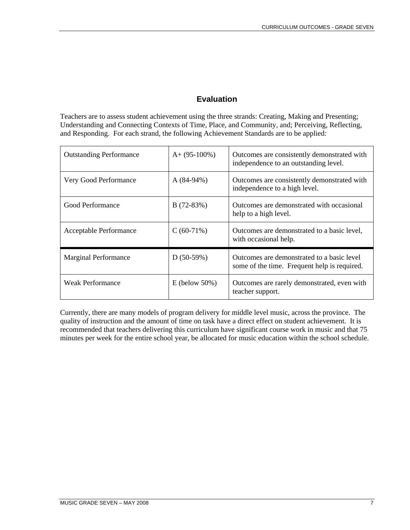# **Evaluation**

Teachers are to assess student achievement using the three strands: Creating, Making and Presenting; Understanding and Connecting Contexts of Time, Place, and Community, and; Perceiving, Reflecting, and Responding. For each strand, the following Achievement Standards are to be applied:

| <b>Outstanding Performance</b> | $A+ (95-100\%)$ | Outcomes are consistently demonstrated with<br>independence to an outstanding level.       |
|--------------------------------|-----------------|--------------------------------------------------------------------------------------------|
| Very Good Performance          | $A(84-94%)$     | Outcomes are consistently demonstrated with<br>independence to a high level.               |
| Good Performance               | $B(72-83%)$     | Outcomes are demonstrated with occasional<br>help to a high level.                         |
| Acceptable Performance         | $C(60-71%)$     | Outcomes are demonstrated to a basic level,<br>with occasional help.                       |
| <b>Marginal Performance</b>    | $D(50-59%)$     | Outcomes are demonstrated to a basic level<br>some of the time. Frequent help is required. |
| <b>Weak Performance</b>        | $E$ (below 50%) | Outcomes are rarely demonstrated, even with<br>teacher support.                            |

Currently, there are many models of program delivery for middle level music, across the province. The quality of instruction and the amount of time on task have a direct effect on student achievement. It is recommended that teachers delivering this curriculum have significant course work in music and that 75 minutes per week for the entire school year, be allocated for music education within the school schedule.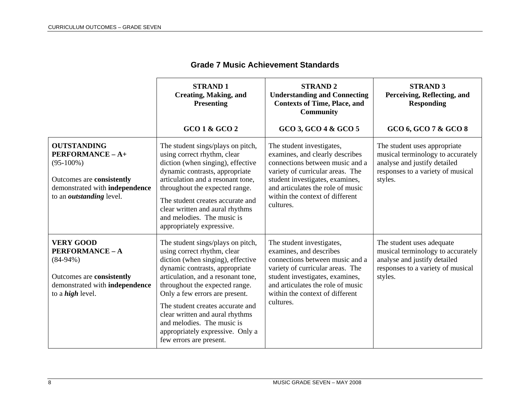|                                                                                                                                                          | <b>STRAND1</b><br><b>Creating, Making, and</b><br><b>Presenting</b>                                                                                                                                                                                                                                                                                                                                                   | <b>STRAND 2</b><br><b>Understanding and Connecting</b><br><b>Contexts of Time, Place, and</b><br><b>Community</b>                                                                                                                                           | <b>STRAND 3</b><br>Perceiving, Reflecting, and<br><b>Responding</b>                                                                               |
|----------------------------------------------------------------------------------------------------------------------------------------------------------|-----------------------------------------------------------------------------------------------------------------------------------------------------------------------------------------------------------------------------------------------------------------------------------------------------------------------------------------------------------------------------------------------------------------------|-------------------------------------------------------------------------------------------------------------------------------------------------------------------------------------------------------------------------------------------------------------|---------------------------------------------------------------------------------------------------------------------------------------------------|
|                                                                                                                                                          | GCO 1 & GCO 2                                                                                                                                                                                                                                                                                                                                                                                                         | GCO 3, GCO 4 & GCO 5                                                                                                                                                                                                                                        | GCO 6, GCO 7 & GCO 8                                                                                                                              |
| <b>OUTSTANDING</b><br>PERFORMANCE - A+<br>$(95-100\%)$<br>Outcomes are consistently<br>demonstrated with independence<br>to an <i>outstanding</i> level. | The student sings/plays on pitch,<br>using correct rhythm, clear<br>diction (when singing), effective<br>dynamic contrasts, appropriate<br>articulation and a resonant tone,<br>throughout the expected range.<br>The student creates accurate and<br>clear written and aural rhythms<br>and melodies. The music is<br>appropriately expressive.                                                                      | The student investigates,<br>examines, and clearly describes<br>connections between music and a<br>variety of curricular areas. The<br>student investigates, examines,<br>and articulates the role of music<br>within the context of different<br>cultures. | The student uses appropriate<br>musical terminology to accurately<br>analyse and justify detailed<br>responses to a variety of musical<br>styles. |
| <b>VERY GOOD</b><br><b>PERFORMANCE - A</b><br>$(84-94%)$<br>Outcomes are consistently<br>demonstrated with independence<br>to a <i>high</i> level.       | The student sings/plays on pitch,<br>using correct rhythm, clear<br>diction (when singing), effective<br>dynamic contrasts, appropriate<br>articulation, and a resonant tone,<br>throughout the expected range.<br>Only a few errors are present.<br>The student creates accurate and<br>clear written and aural rhythms<br>and melodies. The music is<br>appropriately expressive. Only a<br>few errors are present. | The student investigates,<br>examines, and describes<br>connections between music and a<br>variety of curricular areas. The<br>student investigates, examines,<br>and articulates the role of music<br>within the context of different<br>cultures.         | The student uses adequate<br>musical terminology to accurately<br>analyse and justify detailed<br>responses to a variety of musical<br>styles.    |

#### **Grade 7 Music Achievement Standards**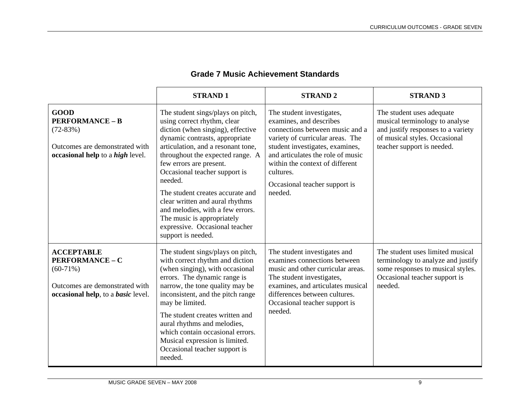|                                                                                                                                          | <b>STRAND1</b>                                                                                                                                                                                                                                                                                                                                                                                                                                                                            | <b>STRAND 2</b>                                                                                                                                                                                                                                                                                 | <b>STRAND 3</b>                                                                                                                                                  |
|------------------------------------------------------------------------------------------------------------------------------------------|-------------------------------------------------------------------------------------------------------------------------------------------------------------------------------------------------------------------------------------------------------------------------------------------------------------------------------------------------------------------------------------------------------------------------------------------------------------------------------------------|-------------------------------------------------------------------------------------------------------------------------------------------------------------------------------------------------------------------------------------------------------------------------------------------------|------------------------------------------------------------------------------------------------------------------------------------------------------------------|
| <b>GOOD</b><br><b>PERFORMANCE - B</b><br>$(72-83%)$<br>Outcomes are demonstrated with<br>occasional help to a <i>high</i> level.         | The student sings/plays on pitch,<br>using correct rhythm, clear<br>diction (when singing), effective<br>dynamic contrasts, appropriate<br>articulation, and a resonant tone,<br>throughout the expected range. A<br>few errors are present.<br>Occasional teacher support is<br>needed.<br>The student creates accurate and<br>clear written and aural rhythms<br>and melodies, with a few errors.<br>The music is appropriately<br>expressive. Occasional teacher<br>support is needed. | The student investigates,<br>examines, and describes<br>connections between music and a<br>variety of curricular areas. The<br>student investigates, examines,<br>and articulates the role of music<br>within the context of different<br>cultures.<br>Occasional teacher support is<br>needed. | The student uses adequate<br>musical terminology to analyse<br>and justify responses to a variety<br>of musical styles. Occasional<br>teacher support is needed. |
| <b>ACCEPTABLE</b><br><b>PERFORMANCE - C</b><br>$(60-71%)$<br>Outcomes are demonstrated with<br>occasional help, to a <i>basic</i> level. | The student sings/plays on pitch,<br>with correct rhythm and diction<br>(when singing), with occasional<br>errors. The dynamic range is<br>narrow, the tone quality may be<br>inconsistent, and the pitch range<br>may be limited.<br>The student creates written and<br>aural rhythms and melodies,<br>which contain occasional errors.<br>Musical expression is limited.<br>Occasional teacher support is<br>needed.                                                                    | The student investigates and<br>examines connections between<br>music and other curricular areas.<br>The student investigates,<br>examines, and articulates musical<br>differences between cultures.<br>Occasional teacher support is<br>needed.                                                | The student uses limited musical<br>terminology to analyze and justify<br>some responses to musical styles.<br>Occasional teacher support is<br>needed.          |

## **Grade 7 Music Achievement Standards**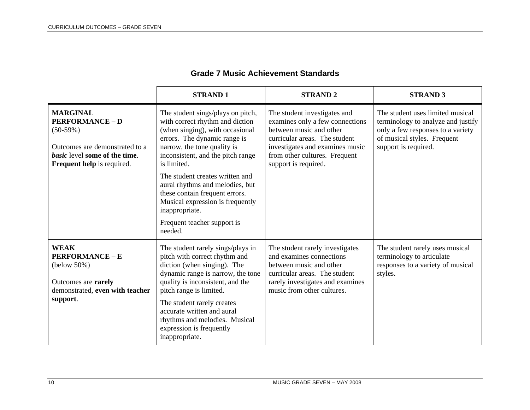|                                                                                                                                                                 | <b>STRAND1</b>                                                                                                                                                                                                                                                                                                                                                                                                                     | <b>STRAND2</b>                                                                                                                                                                                                          | <b>STRAND 3</b>                                                                                                                                                    |
|-----------------------------------------------------------------------------------------------------------------------------------------------------------------|------------------------------------------------------------------------------------------------------------------------------------------------------------------------------------------------------------------------------------------------------------------------------------------------------------------------------------------------------------------------------------------------------------------------------------|-------------------------------------------------------------------------------------------------------------------------------------------------------------------------------------------------------------------------|--------------------------------------------------------------------------------------------------------------------------------------------------------------------|
| <b>MARGINAL</b><br><b>PERFORMANCE - D</b><br>$(50-59%)$<br>Outcomes are demonstrated to a<br><i>basic</i> level some of the time.<br>Frequent help is required. | The student sings/plays on pitch,<br>with correct rhythm and diction<br>(when singing), with occasional<br>errors. The dynamic range is<br>narrow, the tone quality is<br>inconsistent, and the pitch range<br>is limited.<br>The student creates written and<br>aural rhythms and melodies, but<br>these contain frequent errors.<br>Musical expression is frequently<br>inappropriate.<br>Frequent teacher support is<br>needed. | The student investigates and<br>examines only a few connections<br>between music and other<br>curricular areas. The student<br>investigates and examines music<br>from other cultures. Frequent<br>support is required. | The student uses limited musical<br>terminology to analyze and justify<br>only a few responses to a variety<br>of musical styles. Frequent<br>support is required. |
| <b>WEAK</b><br><b>PERFORMANCE - E</b><br>(below 50%)<br>Outcomes are rarely<br>demonstrated, even with teacher<br>support.                                      | The student rarely sings/plays in<br>pitch with correct rhythm and<br>diction (when singing). The<br>dynamic range is narrow, the tone<br>quality is inconsistent, and the<br>pitch range is limited.<br>The student rarely creates<br>accurate written and aural<br>rhythms and melodies. Musical<br>expression is frequently<br>inappropriate.                                                                                   | The student rarely investigates<br>and examines connections<br>between music and other<br>curricular areas. The student<br>rarely investigates and examines<br>music from other cultures.                               | The student rarely uses musical<br>terminology to articulate<br>responses to a variety of musical<br>styles.                                                       |

## **Grade 7 Music Achievement Standards**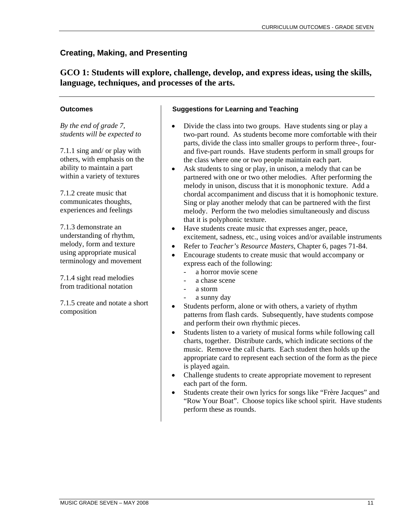**GCO 1: Students will explore, challenge, develop, and express ideas, using the skills, language, techniques, and processes of the arts.** 

#### **Outcomes**

*By the end of grade 7, students will be expected to* 

7.1.1 sing and/ or play with others, with emphasis on the ability to maintain a part within a variety of textures

7.1.2 create music that communicates thoughts, experiences and feelings

7.1.3 demonstrate an understanding of rhythm, melody, form and texture using appropriate musical terminology and movement

7.1.4 sight read melodies from traditional notation

7.1.5 create and notate a short composition

- Divide the class into two groups. Have students sing or play a two-part round. As students become more comfortable with their parts, divide the class into smaller groups to perform three-, fourand five-part rounds. Have students perform in small groups for the class where one or two people maintain each part.
- Ask students to sing or play, in unison, a melody that can be partnered with one or two other melodies. After performing the melody in unison, discuss that it is monophonic texture. Add a chordal accompaniment and discuss that it is homophonic texture. Sing or play another melody that can be partnered with the first melody. Perform the two melodies simultaneously and discuss that it is polyphonic texture.
- Have students create music that expresses anger, peace, excitement, sadness, etc., using voices and/or available instruments
- Refer to *Teacher's Resource Masters*, Chapter 6, pages 71-84.
- Encourage students to create music that would accompany or express each of the following:
	- a horror movie scene
	- a chase scene
	- a storm
	- a sunny day
- Students perform, alone or with others, a variety of rhythm patterns from flash cards. Subsequently, have students compose and perform their own rhythmic pieces.
- Students listen to a variety of musical forms while following call charts, together. Distribute cards, which indicate sections of the music. Remove the call charts. Each student then holds up the appropriate card to represent each section of the form as the piece is played again.
- Challenge students to create appropriate movement to represent each part of the form.
- Students create their own lyrics for songs like "Frère Jacques" and "Row Your Boat". Choose topics like school spirit. Have students perform these as rounds.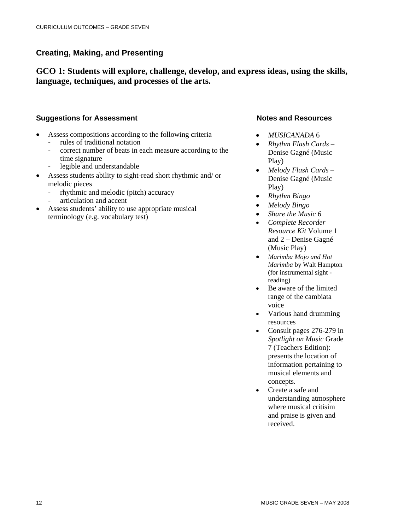**GCO 1: Students will explore, challenge, develop, and express ideas, using the skills, language, techniques, and processes of the arts.** 

## **Suggestions for Assessment**

- Assess compositions according to the following criteria rules of traditional notation
	- correct number of beats in each measure according to the time signature
	- legible and understandable
- Assess students ability to sight-read short rhythmic and/ or melodic pieces
	- rhythmic and melodic (pitch) accuracy
	- articulation and accent
- Assess students' ability to use appropriate musical terminology (e.g. vocabulary test)

- *MUSICANADA* 6
- *Rhythm Flash Cards* Denise Gagné (Music Play)
- *Melody Flash Cards* Denise Gagné (Music Play)
- *Rhythm Bingo*
- *Melody Bingo*
- *Share the Music 6*
- *Complete Recorder Resource Kit* Volume 1 and 2 – Denise Gagné (Music Play)
- *Marimba Mojo and Hot Marimba* by Walt Hampton (for instrumental sight reading)
- Be aware of the limited range of the cambiata voice
- Various hand drumming resources
- Consult pages 276-279 in *Spotlight on Music* Grade 7 (Teachers Edition): presents the location of information pertaining to musical elements and concepts.
- Create a safe and understanding atmosphere where musical critisim and praise is given and received.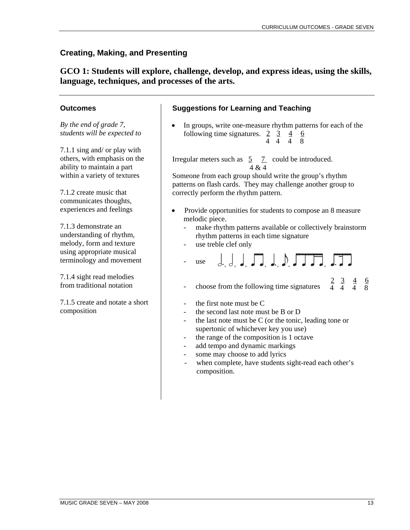**GCO 1: Students will explore, challenge, develop, and express ideas, using the skills, language, techniques, and processes of the arts.** 

## **Outcomes**

*By the end of grade 7, students will be expected to* 

7.1.1 sing and/ or play with others, with emphasis on the ability to maintain a part within a variety of textures

7.1.2 create music that communicates thoughts, experiences and feelings

7.1.3 demonstrate an understanding of rhythm, melody, form and texture using appropriate musical terminology and movement

7.1.4 sight read melodies from traditional notation

7.1.5 create and notate a short composition

## **Suggestions for Learning and Teaching**

• In groups, write one-measure rhythm patterns for each of the following time signatures.  $2 \quad 3 \quad 4 \quad 6$ 4 4 4 8

Irregular meters such as  $\overline{5}$   $\overline{7}$  could be introduced. 4 & 4

Someone from each group should write the group's rhythm patterns on flash cards. They may challenge another group to correctly perform the rhythm pattern.

- Provide opportunities for students to compose an 8 measure melodic piece.
	- make rhythm patterns available or collectively brainstorm rhythm patterns in each time signature
	- use treble clef only

$$
- \text{use} \quad \left. \begin{matrix} . & . \\ . & . \end{matrix} \right|, \left. \begin{matrix} . & . \\ . & . \end{matrix} \right|, \left. \begin{matrix} . & . \\ . & . \end{matrix} \right|, \left. \begin{matrix} . & . \\ . & . \end{matrix} \right|
$$

- choose from the following time signatures  $2 \t3 \t4 \t6$ 4 4 4 8
- the first note must be C
- the second last note must be B or D
- the last note must be  $C$  (or the tonic, leading tone or supertonic of whichever key you use)
- the range of the composition is 1 octave
- add tempo and dynamic markings
- some may choose to add lyrics
- when complete, have students sight-read each other's composition.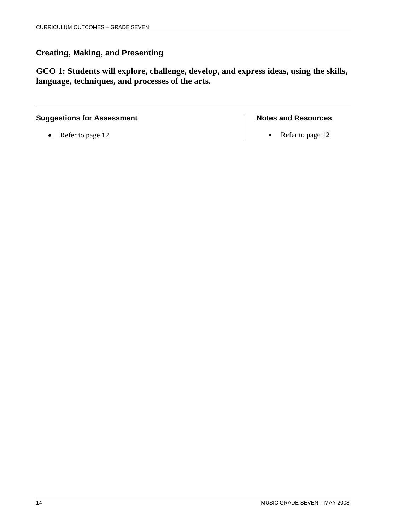**GCO 1: Students will explore, challenge, develop, and express ideas, using the skills, language, techniques, and processes of the arts.** 

## **Suggestions for Assessment**

• Refer to page 12

#### **Notes and Resources**

• Refer to page 12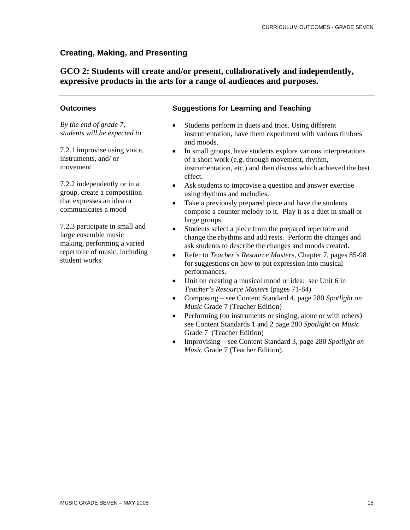# **GCO 2: Students will create and/or present, collaboratively and independently, expressive products in the arts for a range of audiences and purposes.**

## **Outcomes**

*By the end of grade 7, students will be expected to* 

7.2.1 improvise using voice, instruments, and/ or movement

7.2.2 independently or in a group, create a composition that expresses an idea or communicates a mood

7.2.3 participate in small and large ensemble music making, performing a varied repertoire of music, including student works

- Students perform in duets and trios. Using different instrumentation, have them experiment with various timbres and moods.
- In small groups, have students explore various interpretations of a short work (e.g. through movement, rhythm, instrumentation, etc.) and then discuss which achieved the best effect.
- Ask students to improvise a question and answer exercise using rhythms and melodies.
- Take a previously prepared piece and have the students compose a counter melody to it. Play it as a duet in small or large groups.
- Students select a piece from the prepared repertoire and change the rhythms and add rests. Perform the changes and ask students to describe the changes and moods created.
- Refer to *Teacher's Resource Master*s, Chapter 7, pages 85-98 for suggestions on how to put expression into musical performances.
- Unit on creating a musical mood or idea: see Unit 6 in *Teacher's Resource Master*s (pages 71-84)
- Composing see Content Standard 4, page 280 *Spotlight on Music* Grade 7 (Teacher Edition)
- Performing (on instruments or singing, alone or with others) see Content Standards 1 and 2 page 280 *Spotlight on Music* Grade 7 (Teacher Edition)
- Improvising see Content Standard 3, page 280 *Spotlight on Music* Grade 7 (Teacher Edition).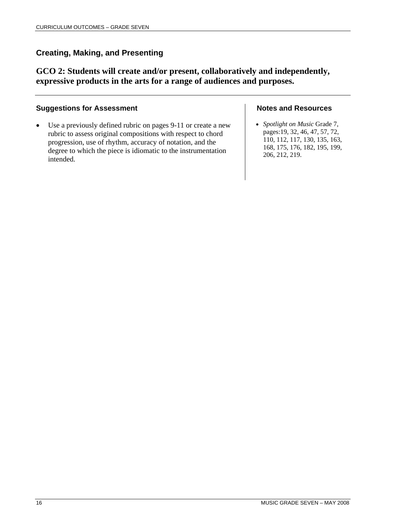**GCO 2: Students will create and/or present, collaboratively and independently, expressive products in the arts for a range of audiences and purposes.** 

#### **Suggestions for Assessment**

• Use a previously defined rubric on pages 9-11 or create a new rubric to assess original compositions with respect to chord progression, use of rhythm, accuracy of notation, and the degree to which the piece is idiomatic to the instrumentation intended.

#### **Notes and Resources**

• *Spotlight on Music* Grade 7, pages:19, 32, 46, 47, 57, 72, 110, 112, 117, 130, 135, 163, 168, 175, 176, 182, 195, 199, 206, 212, 219.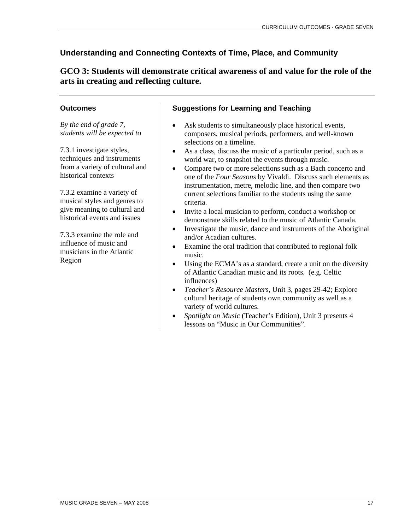**GCO 3: Students will demonstrate critical awareness of and value for the role of the arts in creating and reflecting culture.** 

## **Outcomes**

*By the end of grade 7, students will be expected to* 

7.3.1 investigate styles, techniques and instruments from a variety of cultural and historical contexts

7.3.2 examine a variety of musical styles and genres to give meaning to cultural and historical events and issues

7.3.3 examine the role and influence of music and musicians in the Atlantic Region

- Ask students to simultaneously place historical events, composers, musical periods, performers, and well-known selections on a timeline.
- As a class, discuss the music of a particular period, such as a world war, to snapshot the events through music.
- Compare two or more selections such as a Bach concerto and one of the *Four Seasons* by Vivaldi. Discuss such elements as instrumentation, metre, melodic line, and then compare two current selections familiar to the students using the same criteria.
- Invite a local musician to perform, conduct a workshop or demonstrate skills related to the music of Atlantic Canada.
- Investigate the music, dance and instruments of the Aboriginal and/or Acadian cultures.
- Examine the oral tradition that contributed to regional folk music.
- Using the ECMA's as a standard, create a unit on the diversity of Atlantic Canadian music and its roots. (e.g. Celtic influences)
- *Teacher's Resource Master*s, Unit 3, pages 29-42; Explore cultural heritage of students own community as well as a variety of world cultures.
- *Spotlight on Music* (Teacher's Edition), Unit 3 presents 4 lessons on "Music in Our Communities".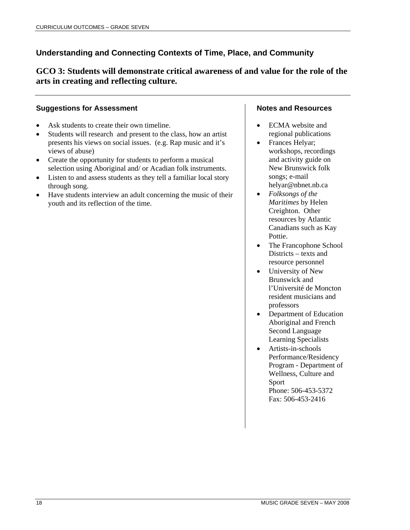**GCO 3: Students will demonstrate critical awareness of and value for the role of the arts in creating and reflecting culture.** 

## **Suggestions for Assessment**

- Ask students to create their own timeline.
- Students will research and present to the class, how an artist presents his views on social issues. (e.g. Rap music and it's views of abuse)
- Create the opportunity for students to perform a musical selection using Aboriginal and/ or Acadian folk instruments.
- Listen to and assess students as they tell a familiar local story through song.
- Have students interview an adult concerning the music of their youth and its reflection of the time.

- ECMA website and regional publications
- Frances Helyar; workshops, recordings and activity guide on New Brunswick folk songs; e-mail helyar@nbnet.nb.ca
- *Folksongs of the Maritimes* by Helen Creighton. Other resources by Atlantic Canadians such as Kay Pottie.
- The Francophone School Districts – texts and resource personnel
- University of New Brunswick and l'Université de Moncton resident musicians and professors
- Department of Education Aboriginal and French Second Language Learning Specialists
- Artists-in-schools Performance/Residency Program - Department of Wellness, Culture and Sport Phone: 506-453-5372 Fax: 506-453-2416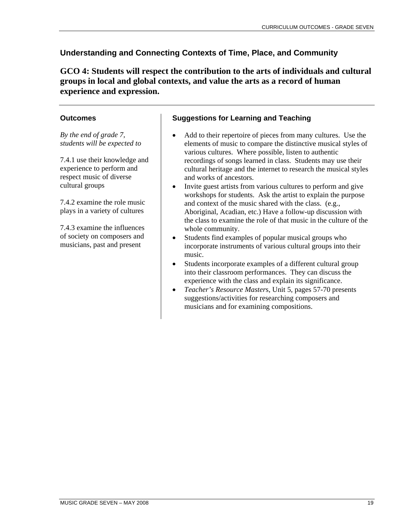**GCO 4: Students will respect the contribution to the arts of individuals and cultural groups in local and global contexts, and value the arts as a record of human experience and expression.** 

## **Outcomes**

*By the end of grade 7, students will be expected to* 

7.4.1 use their knowledge and experience to perform and respect music of diverse cultural groups

7.4.2 examine the role music plays in a variety of cultures

7.4.3 examine the influences of society on composers and musicians, past and present

- Add to their repertoire of pieces from many cultures. Use the elements of music to compare the distinctive musical styles of various cultures. Where possible, listen to authentic recordings of songs learned in class. Students may use their cultural heritage and the internet to research the musical styles and works of ancestors.
- Invite guest artists from various cultures to perform and give workshops for students. Ask the artist to explain the purpose and context of the music shared with the class. (e.g., Aboriginal, Acadian, etc.) Have a follow-up discussion with the class to examine the role of that music in the culture of the whole community.
- Students find examples of popular musical groups who incorporate instruments of various cultural groups into their music.
- Students incorporate examples of a different cultural group into their classroom performances. They can discuss the experience with the class and explain its significance.
- *Teacher's Resource Master*s, Unit 5, pages 57-70 presents suggestions/activities for researching composers and musicians and for examining compositions.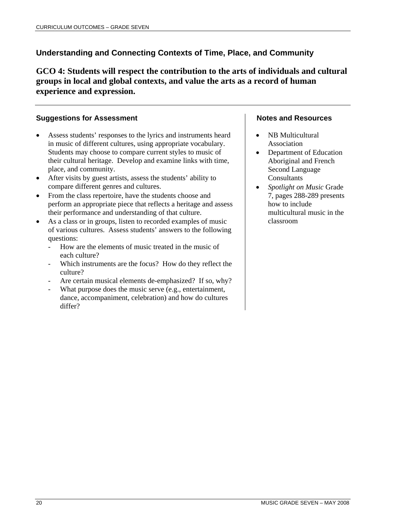**GCO 4: Students will respect the contribution to the arts of individuals and cultural groups in local and global contexts, and value the arts as a record of human experience and expression.** 

## **Suggestions for Assessment**

- Assess students' responses to the lyrics and instruments heard in music of different cultures, using appropriate vocabulary. Students may choose to compare current styles to music of their cultural heritage. Develop and examine links with time, place, and community.
- After visits by guest artists, assess the students' ability to compare different genres and cultures.
- From the class repertoire, have the students choose and perform an appropriate piece that reflects a heritage and assess their performance and understanding of that culture.
- As a class or in groups, listen to recorded examples of music of various cultures. Assess students' answers to the following questions:
	- How are the elements of music treated in the music of each culture?
	- Which instruments are the focus? How do they reflect the culture?
	- Are certain musical elements de-emphasized? If so, why?
	- What purpose does the music serve (e.g., entertainment, dance, accompaniment, celebration) and how do cultures differ?

- NB Multicultural Association
- Department of Education Aboriginal and French Second Language **Consultants**
- *Spotlight on Music* Grade 7, pages 288-289 presents how to include multicultural music in the classroom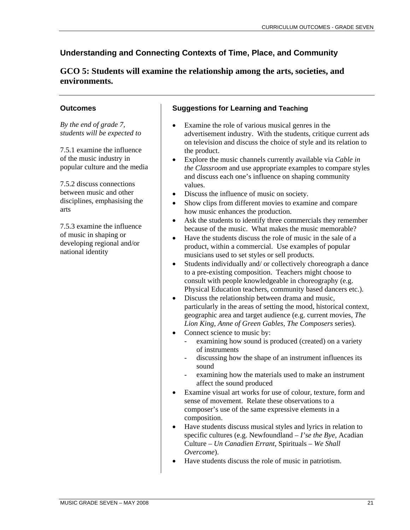# **GCO 5: Students will examine the relationship among the arts, societies, and environments.**

## **Outcomes**

*By the end of grade 7, students will be expected to*

7.5.1 examine the influence of the music industry in popular culture and the media

7.5.2 discuss connections between music and other disciplines, emphasising the arts

7.5.3 examine the influence of music in shaping or developing regional and/or national identity

- Examine the role of various musical genres in the advertisement industry. With the students, critique current ads on television and discuss the choice of style and its relation to the product.
- Explore the music channels currently available via *Cable in the Classroom* and use appropriate examples to compare styles and discuss each one's influence on shaping community values.
- Discuss the influence of music on society.
- Show clips from different movies to examine and compare how music enhances the production.
- Ask the students to identify three commercials they remember because of the music. What makes the music memorable?
- Have the students discuss the role of music in the sale of a product, within a commercial. Use examples of popular musicians used to set styles or sell products.
- Students individually and/ or collectively choreograph a dance to a pre-existing composition. Teachers might choose to consult with people knowledgeable in choreography (e.g. Physical Education teachers, community based dancers etc.).
- Discuss the relationship between drama and music, particularly in the areas of setting the mood, historical context, geographic area and target audience (e.g. current movies, *The Lion King, Anne of Green Gables, The Composers* series).
- Connect science to music by:
	- examining how sound is produced (created) on a variety of instruments
	- discussing how the shape of an instrument influences its sound
	- examining how the materials used to make an instrument affect the sound produced
- Examine visual art works for use of colour, texture, form and sense of movement. Relate these observations to a composer's use of the same expressive elements in a composition.
- Have students discuss musical styles and lyrics in relation to specific cultures (e.g. Newfoundland – *I'se the Bye*, Acadian Culture – *Un Canadien Errant*, Spirituals – *We Shall Overcome*).
- Have students discuss the role of music in patriotism.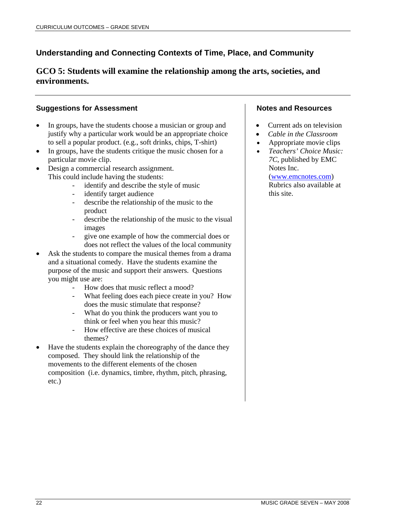# **GCO 5: Students will examine the relationship among the arts, societies, and environments.**

## **Suggestions for Assessment**

- In groups, have the students choose a musician or group and justify why a particular work would be an appropriate choice to sell a popular product. (e.g., soft drinks, chips, T-shirt)
- In groups, have the students critique the music chosen for a particular movie clip.
- Design a commercial research assignment. This could include having the students:
	- identify and describe the style of music
	- identify target audience
	- describe the relationship of the music to the product
	- describe the relationship of the music to the visual images
	- give one example of how the commercial does or does not reflect the values of the local community
- Ask the students to compare the musical themes from a drama and a situational comedy. Have the students examine the purpose of the music and support their answers. Questions you might use are:
	- How does that music reflect a mood?
	- What feeling does each piece create in you? How does the music stimulate that response?
	- What do you think the producers want you to think or feel when you hear this music?
	- How effective are these choices of musical themes?
- Have the students explain the choreography of the dance they composed. They should link the relationship of the movements to the different elements of the chosen composition (i.e. dynamics, timbre, rhythm, pitch, phrasing, etc.)

#### **Notes and Resources**

- Current ads on television
- *Cable in the Classroom*
- Appropriate movie clips
- *Teachers' Choice Music: 7C*, published by EMC Notes Inc.

(www.emcnotes.com) Rubrics also available at this site.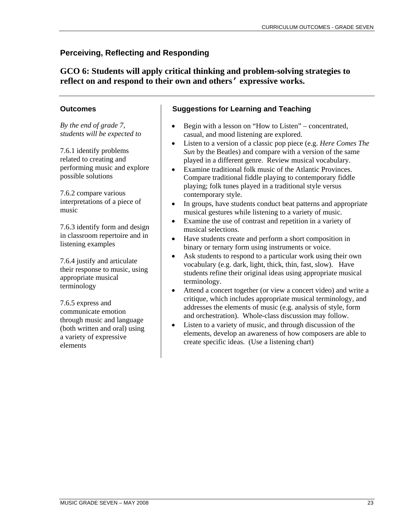# **Perceiving, Reflecting and Responding**

**GCO 6: Students will apply critical thinking and problem-solving strategies to reflect on and respond to their own and others' expressive works.**

## **Outcomes**

*By the end of grade 7, students will be expected to* 

7.6.1 identify problems related to creating and performing music and explore possible solutions

7.6.2 compare various interpretations of a piece of music

7.6.3 identify form and design in classroom repertoire and in listening examples

7.6.4 justify and articulate their response to music, using appropriate musical terminology

7.6.5 express and communicate emotion through music and language (both written and oral) using a variety of expressive elements

- Begin with a lesson on "How to Listen" concentrated, casual, and mood listening are explored.
- Listen to a version of a classic pop piece (e.g. *Here Comes The Sun* by the Beatles) and compare with a version of the same played in a different genre. Review musical vocabulary.
- Examine traditional folk music of the Atlantic Provinces. Compare traditional fiddle playing to contemporary fiddle playing; folk tunes played in a traditional style versus contemporary style.
- In groups, have students conduct beat patterns and appropriate musical gestures while listening to a variety of music.
- Examine the use of contrast and repetition in a variety of musical selections.
- Have students create and perform a short composition in binary or ternary form using instruments or voice.
- Ask students to respond to a particular work using their own vocabulary (e.g. dark, light, thick, thin, fast, slow). Have students refine their original ideas using appropriate musical terminology.
- Attend a concert together (or view a concert video) and write a critique, which includes appropriate musical terminology, and addresses the elements of music (e.g. analysis of style, form and orchestration). Whole-class discussion may follow.
- Listen to a variety of music, and through discussion of the elements, develop an awareness of how composers are able to create specific ideas. (Use a listening chart)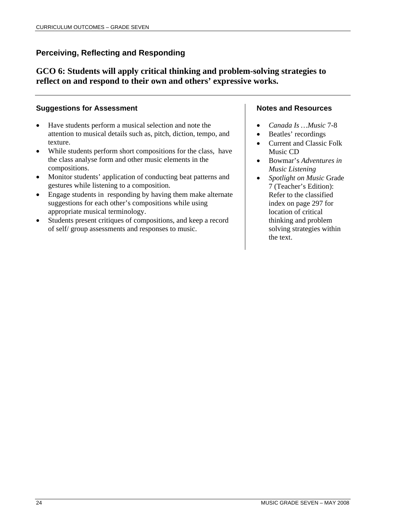# **Perceiving, Reflecting and Responding**

**GCO 6: Students will apply critical thinking and problem-solving strategies to reflect on and respond to their own and others' expressive works.**

## **Suggestions for Assessment**

- Have students perform a musical selection and note the attention to musical details such as, pitch, diction, tempo, and texture.
- While students perform short compositions for the class, have the class analyse form and other music elements in the compositions.
- Monitor students' application of conducting beat patterns and gestures while listening to a composition.
- Engage students in responding by having them make alternate suggestions for each other's compositions while using appropriate musical terminology.
- Students present critiques of compositions, and keep a record of self/ group assessments and responses to music.

- *Canada Is …Music* 7-8
- Beatles' recordings
- Current and Classic Folk Music CD
- Bowmar's *Adventures in Music Listening*
- *Spotlight on Music* Grade 7 (Teacher's Edition): Refer to the classified index on page 297 for location of critical thinking and problem solving strategies within the text.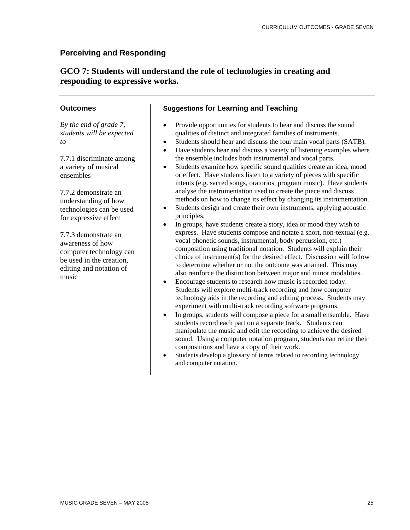# **GCO 7: Students will understand the role of technologies in creating and responding to expressive works.**

## **Outcomes**

*By the end of grade 7, students will be expected to*

7.7.1 discriminate among a variety of musical ensembles

7.7.2 demonstrate an understanding of how technologies can be used for expressive effect

7.7.3 demonstrate an awareness of how computer technology can be used in the creation, editing and notation of music

- Provide opportunities for students to hear and discuss the sound qualities of distinct and integrated families of instruments.
- Students should hear and discuss the four main vocal parts (SATB).
- Have students hear and discuss a variety of listening examples where the ensemble includes both instrumental and vocal parts.
- Students examine how specific sound qualities create an idea, mood or effect. Have students listen to a variety of pieces with specific intents (e.g. sacred songs, oratorios, program music). Have students analyse the instrumentation used to create the piece and discuss methods on how to change its effect by changing its instrumentation.
- Students design and create their own instruments, applying acoustic principles.
- In groups, have students create a story, idea or mood they wish to express. Have students compose and notate a short, non-textual (e.g. vocal phonetic sounds, instrumental, body percussion, etc.) composition using traditional notation. Students will explain their choice of instrument(s) for the desired effect. Discussion will follow to determine whether or not the outcome was attained. This may also reinforce the distinction between major and minor modalities.
- Encourage students to research how music is recorded today. Students will explore multi-track recording and how computer technology aids in the recording and editing process. Students may experiment with multi-track recording software programs.
- In groups, students will compose a piece for a small ensemble. Have students record each part on a separate track. Students can manipulate the music and edit the recording to achieve the desired sound. Using a computer notation program, students can refine their compositions and have a copy of their work.
- Students develop a glossary of terms related to recording technology and computer notation.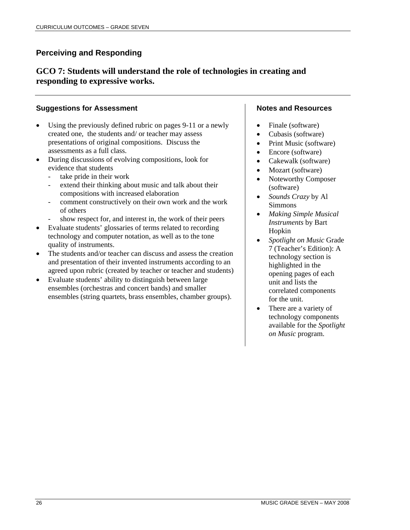# **GCO 7: Students will understand the role of technologies in creating and responding to expressive works.**

## **Suggestions for Assessment**

- Using the previously defined rubric on pages 9-11 or a newly created one, the students and/ or teacher may assess presentations of original compositions. Discuss the assessments as a full class.
- During discussions of evolving compositions, look for evidence that students
	- take pride in their work
	- extend their thinking about music and talk about their compositions with increased elaboration
	- comment constructively on their own work and the work of others
	- show respect for, and interest in, the work of their peers
- Evaluate students' glossaries of terms related to recording technology and computer notation, as well as to the tone quality of instruments.
- The students and/or teacher can discuss and assess the creation and presentation of their invented instruments according to an agreed upon rubric (created by teacher or teacher and students)
- Evaluate students' ability to distinguish between large ensembles (orchestras and concert bands) and smaller ensembles (string quartets, brass ensembles, chamber groups).

- Finale (software)
- Cubasis (software)
- Print Music (software)
- Encore (software)
- Cakewalk (software)
- Mozart (software)
- Noteworthy Composer (software)
- *Sounds Crazy* by Al Simmons
- *Making Simple Musical Instruments* by Bart Hopkin
- *Spotlight on Music* Grade 7 (Teacher's Edition): A technology section is highlighted in the opening pages of each unit and lists the correlated components for the unit.
- There are a variety of technology components available for the *Spotlight on Music* program.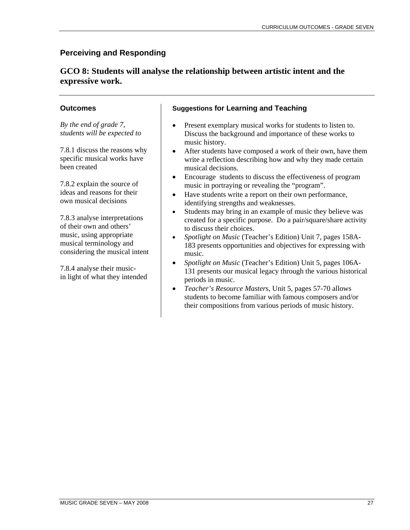# **GCO 8: Students will analyse the relationship between artistic intent and the expressive work.**

## **Outcomes**

*By the end of grade 7, students will be expected to*

7.8.1 discuss the reasons why specific musical works have been created

7.8.2 explain the source of ideas and reasons for their own musical decisions

7.8.3 analyse interpretations of their own and others' music, using appropriate musical terminology and considering the musical intent

7.8.4 analyse their musicin light of what they intended

- Present exemplary musical works for students to listen to. Discuss the background and importance of these works to music history.
- After students have composed a work of their own, have them write a reflection describing how and why they made certain musical decisions.
- Encourage students to discuss the effectiveness of program music in portraying or revealing the "program".
- Have students write a report on their own performance, identifying strengths and weaknesses.
- Students may bring in an example of music they believe was created for a specific purpose. Do a pair/square/share activity to discuss their choices.
- *Spotlight on Music* (Teacher's Edition) Unit 7, pages 158A-183 presents opportunities and objectives for expressing with music.
- *Spotlight on Music* (Teacher's Edition) Unit 5, pages 106A-131 presents our musical legacy through the various historical periods in music.
- *Teacher's Resource Master*s, Unit 5, pages 57-70 allows students to become familiar with famous composers and/or their compositions from various periods of music history.